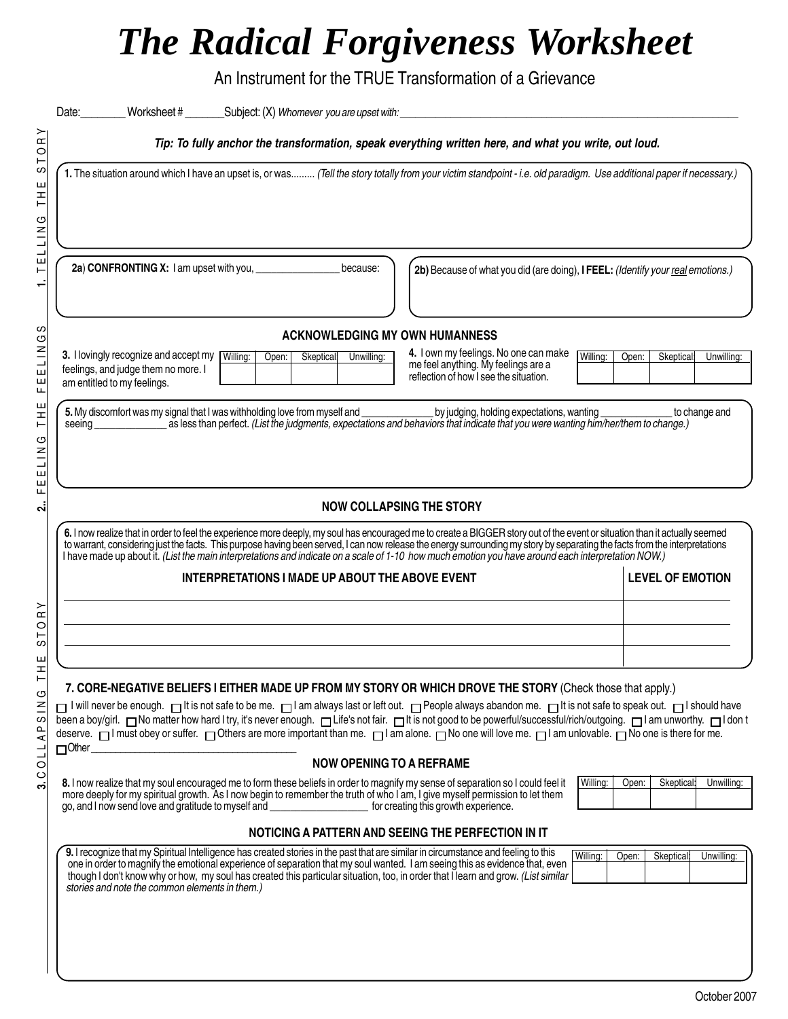## *The Radical Forgiveness Worksheet*

An Instrument for the TRUE Transformation of a Grievance

|                                                                      | Date:                                                                                                                                                                                                                                                                                                                                                                                                                                                                                                                                                                                                                                                           |  |  |  |  |
|----------------------------------------------------------------------|-----------------------------------------------------------------------------------------------------------------------------------------------------------------------------------------------------------------------------------------------------------------------------------------------------------------------------------------------------------------------------------------------------------------------------------------------------------------------------------------------------------------------------------------------------------------------------------------------------------------------------------------------------------------|--|--|--|--|
| ⋗<br>$\alpha$<br>$\circ$                                             | Tip: To fully anchor the transformation, speak everything written here, and what you write, out loud.                                                                                                                                                                                                                                                                                                                                                                                                                                                                                                                                                           |  |  |  |  |
| ⊢<br>ပ<br>ш<br>I<br>Н<br>O<br>LLI                                    | 1. The situation around which I have an upset is, or was (Tell the story totally from your victim standpoint - i.e. old paradigm. Use additional paper if necessary.)                                                                                                                                                                                                                                                                                                                                                                                                                                                                                           |  |  |  |  |
| Щ<br>Н                                                               | because:<br>2b) Because of what you did (are doing), I FEEL: (Identify your real emotions.)                                                                                                                                                                                                                                                                                                                                                                                                                                                                                                                                                                     |  |  |  |  |
| ပ<br>৩                                                               | <b>ACKNOWLEDGING MY OWN HUMANNESS</b>                                                                                                                                                                                                                                                                                                                                                                                                                                                                                                                                                                                                                           |  |  |  |  |
| ELIN<br>Щ<br>Щ                                                       | 4. I own my feelings. No one can make<br>3. I lovingly recognize and accept my Willing:<br>Willing:<br>Skeptical: Unwilling:<br>Open:<br>Skeptical<br>Unwilling:<br>Open:<br>me feel anything. My feelings are a<br>feelings, and judge them no more. I<br>reflection of how I see the situation.<br>am entitled to my feelings.                                                                                                                                                                                                                                                                                                                                |  |  |  |  |
| ш<br>H<br>Н<br>৩<br>$\frac{2}{1}$<br>Щ                               | seeing as less than perfect. (List the judgments, expectations and behaviors that indicate that you were wanting him/her/them to change.)                                                                                                                                                                                                                                                                                                                                                                                                                                                                                                                       |  |  |  |  |
| ш<br>Щ<br><b>NOW COLLAPSING THE STORY</b><br>$\overline{\mathbf{r}}$ |                                                                                                                                                                                                                                                                                                                                                                                                                                                                                                                                                                                                                                                                 |  |  |  |  |
|                                                                      | 6. I now realize that in order to feel the experience more deeply, my soul has encouraged me to create a BIGGER story out of the event or situation than it actually seemed<br>to warrant, considering just the facts. This purpose having been served, I can now release the energy surrounding my story by separating the facts from the interpretations<br>I have made up about it. (List the main interpreta<br><b>LEVEL OF EMOTION</b><br>INTERPRETATIONS I MADE UP ABOUT THE ABOVE EVENT                                                                                                                                                                  |  |  |  |  |
| ≻<br>$\alpha$<br>$\circ$<br>⊢<br>ပ                                   | <u> 1980 - Johann Barn, mars ann an t-Amhain Aonaichte ann an t-Aonaichte ann an t-Aonaichte ann an t-Aonaichte a</u>                                                                                                                                                                                                                                                                                                                                                                                                                                                                                                                                           |  |  |  |  |
| ш<br>H                                                               |                                                                                                                                                                                                                                                                                                                                                                                                                                                                                                                                                                                                                                                                 |  |  |  |  |
| ۲<br>U<br>$\leq$<br>ပ<br>$\mathbf{\Omega}$<br>⋖<br><b>OLL</b>        | 7. CORE-NEGATIVE BELIEFS I EITHER MADE UP FROM MY STORY OR WHICH DROVE THE STORY (Check those that apply.)<br>r I will never be enough. In tis not safe to be me. I am always last or left out. I People always abandon me. It is not safe to speak out. I should have<br>been a boy/girl. No matter how hard I try, it's never enough. In Life's not fair. It is not good to be powerful/successful/rich/outgoing. In am unworthy. In I don t<br>deserve. □ I must obey or suffer. □ Others are more important than me. □ I am alone. □ No one will love me. □ I am unlovable. □ No one is there for me.<br>$\square$ Other<br><b>NOW OPENING TO A REFRAME</b> |  |  |  |  |
| ပ<br>ຕ່                                                              | Willing:<br>8. I now realize that my soul encouraged me to form these beliefs in order to magnify my sense of separation so I could feel it<br>Open:<br>Skeptical:<br>Unwilling:<br>more deeply for my spiritual growth. As I now begin to remember the truth of who I am, I give myself permission to let them<br>go, and I now send love and gratitude to myself and<br>for creating this growth experience.                                                                                                                                                                                                                                                  |  |  |  |  |
|                                                                      | NOTICING A PATTERN AND SEEING THE PERFECTION IN IT                                                                                                                                                                                                                                                                                                                                                                                                                                                                                                                                                                                                              |  |  |  |  |
|                                                                      | 9. I recognize that my Spiritual Intelligence has created stories in the past that are similar in circumstance and feeling to this<br>Willing:<br>Open:<br>Skeptical:<br>Unwilling:<br>one in order to magnify the emotional experience of separation that my soul wanted. I am seeing this as evidence that, even<br>though I don't know why or how, my soul has created this particular situation, too, in order that llearn and grow. (List similar<br>stories and note the common elements in them.)                                                                                                                                                        |  |  |  |  |
|                                                                      |                                                                                                                                                                                                                                                                                                                                                                                                                                                                                                                                                                                                                                                                 |  |  |  |  |